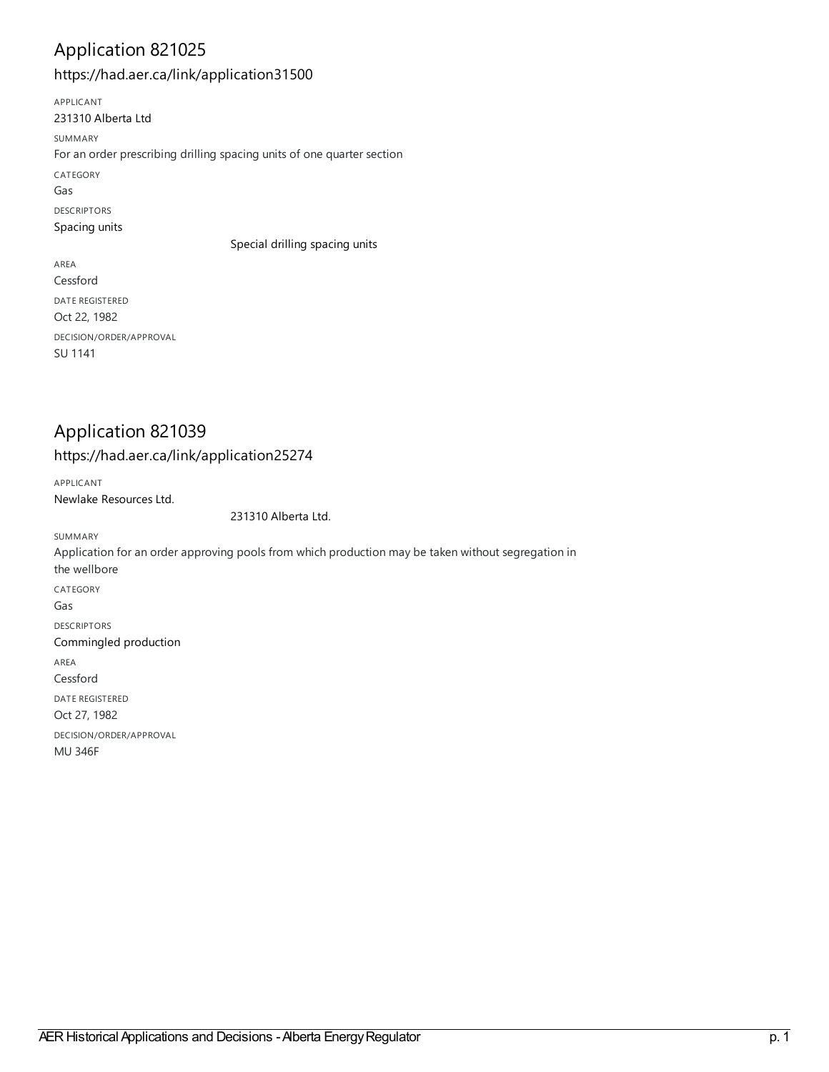### Application 821025

<https://had.aer.ca/link/application31500>

APPLICANT 231310 [Alberta](https://had.aer.ca/list?q=name%253A%2522231310%20Alberta%20Ltd%2522&p=1&ps=&sort=title_sort%20asc) Ltd SUMMARY For an order prescribing drilling spacing units of one quarter section CATEGORY Gas DESCRIPTORS [Spacing](https://had.aer.ca/list?q=topic%253A%2522Spacing%20units%2522&p=1&ps=&sort=title_sort%20asc) units Special drilling [spacing](https://had.aer.ca/list?q=topic%253A%2522Special%20drilling%20spacing%20units%2522&p=1&ps=&sort=title_sort%20asc) units AREA Cessford DATE REGISTERED Oct 22, 1982 DECISION/ORDER/APPROVAL

### Application 821039

SU 1141

#### <https://had.aer.ca/link/application25274>

APPLICANT Newlake [Resources](https://had.aer.ca/list?q=name%253A%2522Newlake%20Resources%20Ltd.%2522&p=1&ps=&sort=title_sort%20asc) Ltd.

231310 [Alberta](https://had.aer.ca/list?q=name%253A%2522231310%20Alberta%20Ltd.%2522&p=1&ps=&sort=title_sort%20asc) Ltd.

SUMMARY Application for an order approving pools from which production may be taken without segregation in the wellbore CATEGORY Gas DESCRIPTORS [Commingled](https://had.aer.ca/list?q=topic%253A%2522Commingled%20production%2522&p=1&ps=&sort=title_sort%20asc) production AREA Cessford DATE REGISTERED Oct 27, 1982 DECISION/ORDER/APPROVAL MU 346F